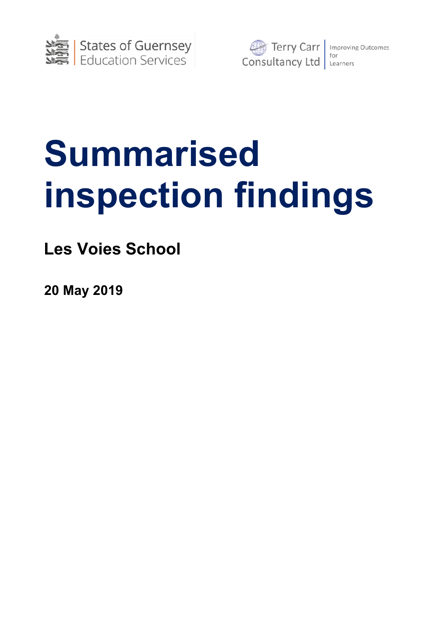



# **Summarised inspection findings**

**Les Voies School**

**20 May 2019**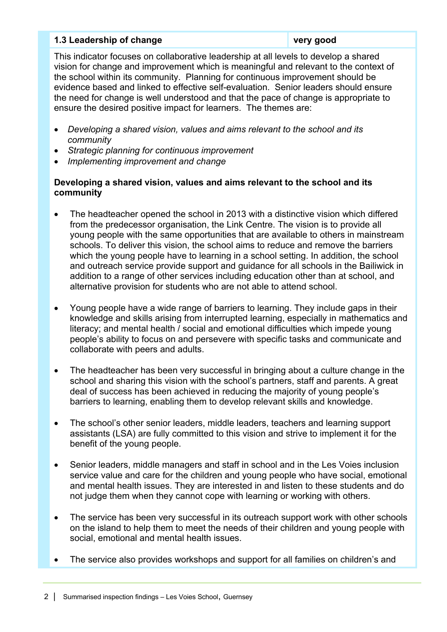# **1.3 Leadership of change very good**

This indicator focuses on collaborative leadership at all levels to develop a shared vision for change and improvement which is meaningful and relevant to the context of the school within its community. Planning for continuous improvement should be evidence based and linked to effective self-evaluation. Senior leaders should ensure the need for change is well understood and that the pace of change is appropriate to ensure the desired positive impact for learners. The themes are:

- *Developing a shared vision, values and aims relevant to the school and its community*
- *Strategic planning for continuous improvement*
- *Implementing improvement and change*

# **Developing a shared vision, values and aims relevant to the school and its community**

- The headteacher opened the school in 2013 with a distinctive vision which differed from the predecessor organisation, the Link Centre. The vision is to provide all young people with the same opportunities that are available to others in mainstream schools. To deliver this vision, the school aims to reduce and remove the barriers which the young people have to learning in a school setting. In addition, the school and outreach service provide support and guidance for all schools in the Bailiwick in addition to a range of other services including education other than at school, and alternative provision for students who are not able to attend school.
- Young people have a wide range of barriers to learning. They include gaps in their knowledge and skills arising from interrupted learning, especially in mathematics and literacy; and mental health / social and emotional difficulties which impede young people's ability to focus on and persevere with specific tasks and communicate and collaborate with peers and adults.
- The headteacher has been very successful in bringing about a culture change in the school and sharing this vision with the school's partners, staff and parents. A great deal of success has been achieved in reducing the majority of young people's barriers to learning, enabling them to develop relevant skills and knowledge.
- The school's other senior leaders, middle leaders, teachers and learning support assistants (LSA) are fully committed to this vision and strive to implement it for the benefit of the young people.
- Senior leaders, middle managers and staff in school and in the Les Voies inclusion service value and care for the children and young people who have social, emotional and mental health issues. They are interested in and listen to these students and do not judge them when they cannot cope with learning or working with others.
- The service has been very successful in its outreach support work with other schools on the island to help them to meet the needs of their children and young people with social, emotional and mental health issues.
- The service also provides workshops and support for all families on children's and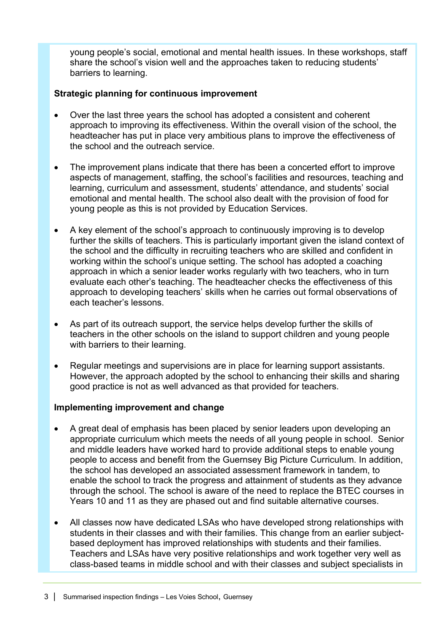young people's social, emotional and mental health issues. In these workshops, staff share the school's vision well and the approaches taken to reducing students' barriers to learning.

# **Strategic planning for continuous improvement**

- Over the last three years the school has adopted a consistent and coherent approach to improving its effectiveness. Within the overall vision of the school, the headteacher has put in place very ambitious plans to improve the effectiveness of the school and the outreach service.
- The improvement plans indicate that there has been a concerted effort to improve aspects of management, staffing, the school's facilities and resources, teaching and learning, curriculum and assessment, students' attendance, and students' social emotional and mental health. The school also dealt with the provision of food for young people as this is not provided by Education Services.
- A key element of the school's approach to continuously improving is to develop further the skills of teachers. This is particularly important given the island context of the school and the difficulty in recruiting teachers who are skilled and confident in working within the school's unique setting. The school has adopted a coaching approach in which a senior leader works regularly with two teachers, who in turn evaluate each other's teaching. The headteacher checks the effectiveness of this approach to developing teachers' skills when he carries out formal observations of each teacher's lessons.
- As part of its outreach support, the service helps develop further the skills of teachers in the other schools on the island to support children and young people with barriers to their learning.
- Regular meetings and supervisions are in place for learning support assistants. However, the approach adopted by the school to enhancing their skills and sharing good practice is not as well advanced as that provided for teachers.

# **Implementing improvement and change**

- A great deal of emphasis has been placed by senior leaders upon developing an appropriate curriculum which meets the needs of all young people in school. Senior and middle leaders have worked hard to provide additional steps to enable young people to access and benefit from the Guernsey Big Picture Curriculum. In addition, the school has developed an associated assessment framework in tandem, to enable the school to track the progress and attainment of students as they advance through the school. The school is aware of the need to replace the BTEC courses in Years 10 and 11 as they are phased out and find suitable alternative courses.
- All classes now have dedicated LSAs who have developed strong relationships with students in their classes and with their families. This change from an earlier subjectbased deployment has improved relationships with students and their families. Teachers and LSAs have very positive relationships and work together very well as class-based teams in middle school and with their classes and subject specialists in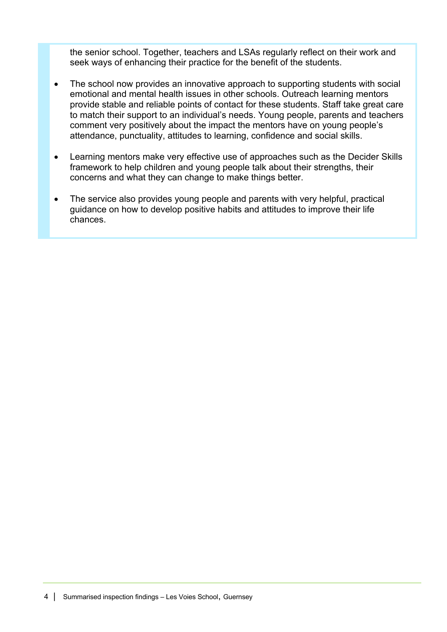the senior school. Together, teachers and LSAs regularly reflect on their work and seek ways of enhancing their practice for the benefit of the students.

- The school now provides an innovative approach to supporting students with social emotional and mental health issues in other schools. Outreach learning mentors provide stable and reliable points of contact for these students. Staff take great care to match their support to an individual's needs. Young people, parents and teachers comment very positively about the impact the mentors have on young people's attendance, punctuality, attitudes to learning, confidence and social skills.
- Learning mentors make very effective use of approaches such as the Decider Skills framework to help children and young people talk about their strengths, their concerns and what they can change to make things better.
- The service also provides young people and parents with very helpful, practical guidance on how to develop positive habits and attitudes to improve their life chances.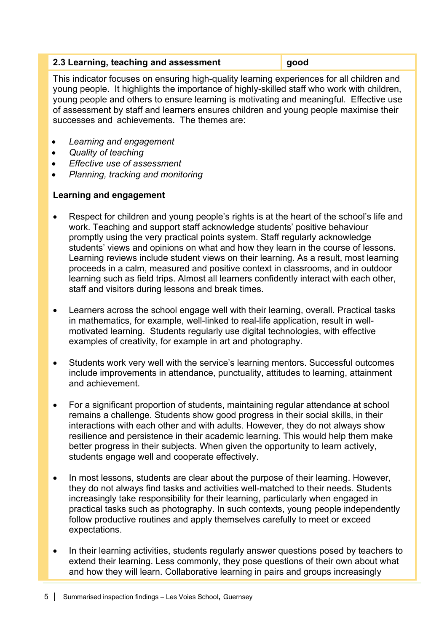# **2.3 Learning, teaching and assessment good**

This indicator focuses on ensuring high-quality learning experiences for all children and young people. It highlights the importance of highly-skilled staff who work with children, young people and others to ensure learning is motivating and meaningful. Effective use of assessment by staff and learners ensures children and young people maximise their successes and achievements. The themes are:

- *Learning and engagement*
- *Quality of teaching*
- *Effective use of assessment*
- *Planning, tracking and monitoring*

# **Learning and engagement**

- Respect for children and young people's rights is at the heart of the school's life and work. Teaching and support staff acknowledge students' positive behaviour promptly using the very practical points system. Staff regularly acknowledge students' views and opinions on what and how they learn in the course of lessons. Learning reviews include student views on their learning. As a result, most learning proceeds in a calm, measured and positive context in classrooms, and in outdoor learning such as field trips. Almost all learners confidently interact with each other, staff and visitors during lessons and break times.
- Learners across the school engage well with their learning, overall. Practical tasks in mathematics, for example, well-linked to real-life application, result in wellmotivated learning. Students regularly use digital technologies, with effective examples of creativity, for example in art and photography.
- Students work very well with the service's learning mentors. Successful outcomes include improvements in attendance, punctuality, attitudes to learning, attainment and achievement.
- For a significant proportion of students, maintaining regular attendance at school remains a challenge. Students show good progress in their social skills, in their interactions with each other and with adults. However, they do not always show resilience and persistence in their academic learning. This would help them make better progress in their subjects. When given the opportunity to learn actively, students engage well and cooperate effectively.
- In most lessons, students are clear about the purpose of their learning. However, they do not always find tasks and activities well-matched to their needs. Students increasingly take responsibility for their learning, particularly when engaged in practical tasks such as photography. In such contexts, young people independently follow productive routines and apply themselves carefully to meet or exceed expectations.
- In their learning activities, students regularly answer questions posed by teachers to extend their learning. Less commonly, they pose questions of their own about what and how they will learn. Collaborative learning in pairs and groups increasingly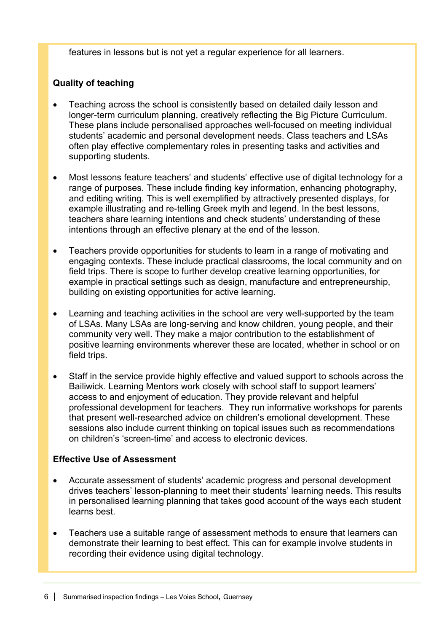features in lessons but is not yet a regular experience for all learners.

# **Quality of teaching**

- Teaching across the school is consistently based on detailed daily lesson and longer-term curriculum planning, creatively reflecting the Big Picture Curriculum. These plans include personalised approaches well-focused on meeting individual students' academic and personal development needs. Class teachers and LSAs often play effective complementary roles in presenting tasks and activities and supporting students.
- Most lessons feature teachers' and students' effective use of digital technology for a range of purposes. These include finding key information, enhancing photography, and editing writing. This is well exemplified by attractively presented displays, for example illustrating and re-telling Greek myth and legend. In the best lessons, teachers share learning intentions and check students' understanding of these intentions through an effective plenary at the end of the lesson.
- Teachers provide opportunities for students to learn in a range of motivating and engaging contexts. These include practical classrooms, the local community and on field trips. There is scope to further develop creative learning opportunities, for example in practical settings such as design, manufacture and entrepreneurship, building on existing opportunities for active learning.
- Learning and teaching activities in the school are very well-supported by the team of LSAs. Many LSAs are long-serving and know children, young people, and their community very well. They make a major contribution to the establishment of positive learning environments wherever these are located, whether in school or on field trips.
- Staff in the service provide highly effective and valued support to schools across the Bailiwick. Learning Mentors work closely with school staff to support learners' access to and enjoyment of education. They provide relevant and helpful professional development for teachers. They run informative workshops for parents that present well-researched advice on children's emotional development. These sessions also include current thinking on topical issues such as recommendations on children's 'screen-time' and access to electronic devices.

# **Effective Use of Assessment**

- Accurate assessment of students' academic progress and personal development drives teachers' lesson-planning to meet their students' learning needs. This results in personalised learning planning that takes good account of the ways each student learns best.
- Teachers use a suitable range of assessment methods to ensure that learners can demonstrate their learning to best effect. This can for example involve students in recording their evidence using digital technology.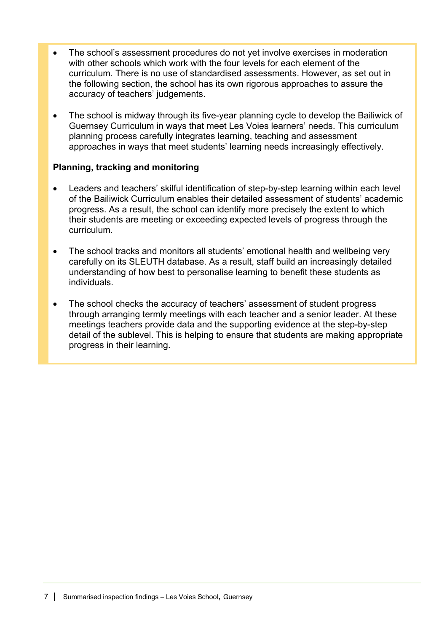- The school's assessment procedures do not yet involve exercises in moderation with other schools which work with the four levels for each element of the curriculum. There is no use of standardised assessments. However, as set out in the following section, the school has its own rigorous approaches to assure the accuracy of teachers' judgements.
- The school is midway through its five-year planning cycle to develop the Bailiwick of Guernsey Curriculum in ways that meet Les Voies learners' needs. This curriculum planning process carefully integrates learning, teaching and assessment approaches in ways that meet students' learning needs increasingly effectively.

# **Planning, tracking and monitoring**

- Leaders and teachers' skilful identification of step-by-step learning within each level of the Bailiwick Curriculum enables their detailed assessment of students' academic progress. As a result, the school can identify more precisely the extent to which their students are meeting or exceeding expected levels of progress through the curriculum.
- The school tracks and monitors all students' emotional health and wellbeing very carefully on its SLEUTH database. As a result, staff build an increasingly detailed understanding of how best to personalise learning to benefit these students as individuals.
- The school checks the accuracy of teachers' assessment of student progress through arranging termly meetings with each teacher and a senior leader. At these meetings teachers provide data and the supporting evidence at the step-by-step detail of the sublevel. This is helping to ensure that students are making appropriate progress in their learning.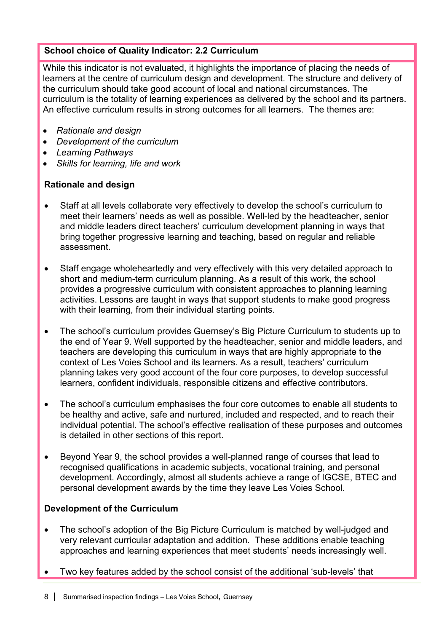# **School choice of Quality Indicator: 2.2 Curriculum**

While this indicator is not evaluated, it highlights the importance of placing the needs of learners at the centre of curriculum design and development. The structure and delivery of the curriculum should take good account of local and national circumstances. The curriculum is the totality of learning experiences as delivered by the school and its partners. An effective curriculum results in strong outcomes for all learners. The themes are:

- *Rationale and design*
- *Development of the curriculum*
- *Learning Pathways*
- *Skills for learning, life and work*

# **Rationale and design**

- Staff at all levels collaborate very effectively to develop the school's curriculum to meet their learners' needs as well as possible. Well-led by the headteacher, senior and middle leaders direct teachers' curriculum development planning in ways that bring together progressive learning and teaching, based on regular and reliable assessment.
- Staff engage wholeheartedly and very effectively with this very detailed approach to short and medium-term curriculum planning. As a result of this work, the school provides a progressive curriculum with consistent approaches to planning learning activities. Lessons are taught in ways that support students to make good progress with their learning, from their individual starting points.
- The school's curriculum provides Guernsey's Big Picture Curriculum to students up to the end of Year 9. Well supported by the headteacher, senior and middle leaders, and teachers are developing this curriculum in ways that are highly appropriate to the context of Les Voies School and its learners. As a result, teachers' curriculum planning takes very good account of the four core purposes, to develop successful learners, confident individuals, responsible citizens and effective contributors.
- The school's curriculum emphasises the four core outcomes to enable all students to be healthy and active, safe and nurtured, included and respected, and to reach their individual potential. The school's effective realisation of these purposes and outcomes is detailed in other sections of this report.
- Beyond Year 9, the school provides a well-planned range of courses that lead to recognised qualifications in academic subjects, vocational training, and personal development. Accordingly, almost all students achieve a range of IGCSE, BTEC and personal development awards by the time they leave Les Voies School.

# **Development of the Curriculum**

- The school's adoption of the Big Picture Curriculum is matched by well-judged and very relevant curricular adaptation and addition. These additions enable teaching approaches and learning experiences that meet students' needs increasingly well.
- Two key features added by the school consist of the additional 'sub-levels' that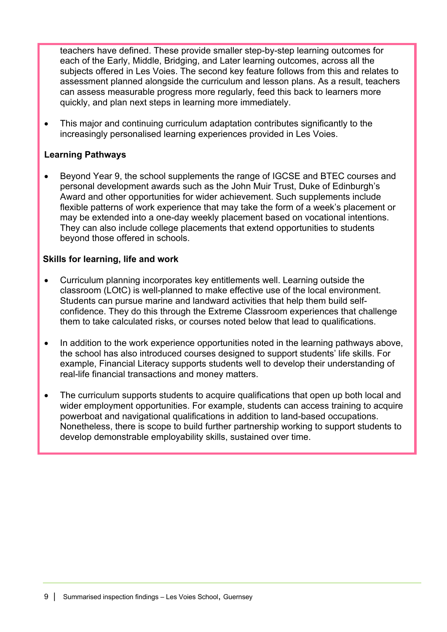teachers have defined. These provide smaller step-by-step learning outcomes for each of the Early, Middle, Bridging, and Later learning outcomes, across all the subjects offered in Les Voies. The second key feature follows from this and relates to assessment planned alongside the curriculum and lesson plans. As a result, teachers can assess measurable progress more regularly, feed this back to learners more quickly, and plan next steps in learning more immediately.

• This major and continuing curriculum adaptation contributes significantly to the increasingly personalised learning experiences provided in Les Voies.

# **Learning Pathways**

• Beyond Year 9, the school supplements the range of IGCSE and BTEC courses and personal development awards such as the John Muir Trust, Duke of Edinburgh's Award and other opportunities for wider achievement. Such supplements include flexible patterns of work experience that may take the form of a week's placement or may be extended into a one-day weekly placement based on vocational intentions. They can also include college placements that extend opportunities to students beyond those offered in schools.

# **Skills for learning, life and work**

- Curriculum planning incorporates key entitlements well. Learning outside the classroom (LOtC) is well-planned to make effective use of the local environment. Students can pursue marine and landward activities that help them build selfconfidence. They do this through the Extreme Classroom experiences that challenge them to take calculated risks, or courses noted below that lead to qualifications.
- In addition to the work experience opportunities noted in the learning pathways above, the school has also introduced courses designed to support students' life skills. For example, Financial Literacy supports students well to develop their understanding of real-life financial transactions and money matters.
- The curriculum supports students to acquire qualifications that open up both local and wider employment opportunities. For example, students can access training to acquire powerboat and navigational qualifications in addition to land-based occupations. Nonetheless, there is scope to build further partnership working to support students to develop demonstrable employability skills, sustained over time.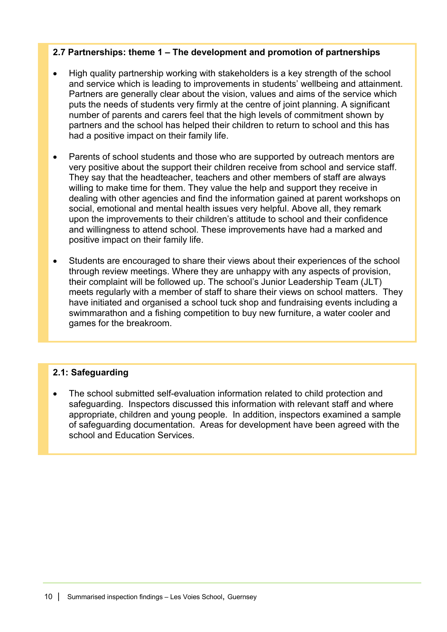# **2.7 Partnerships: theme 1 – The development and promotion of partnerships**

- High quality partnership working with stakeholders is a key strength of the school and service which is leading to improvements in students' wellbeing and attainment. Partners are generally clear about the vision, values and aims of the service which puts the needs of students very firmly at the centre of joint planning. A significant number of parents and carers feel that the high levels of commitment shown by partners and the school has helped their children to return to school and this has had a positive impact on their family life.
- Parents of school students and those who are supported by outreach mentors are very positive about the support their children receive from school and service staff. They say that the headteacher, teachers and other members of staff are always willing to make time for them. They value the help and support they receive in dealing with other agencies and find the information gained at parent workshops on social, emotional and mental health issues very helpful. Above all, they remark upon the improvements to their children's attitude to school and their confidence and willingness to attend school. These improvements have had a marked and positive impact on their family life.
- Students are encouraged to share their views about their experiences of the school through review meetings. Where they are unhappy with any aspects of provision, their complaint will be followed up. The school's Junior Leadership Team (JLT) meets regularly with a member of staff to share their views on school matters. They have initiated and organised a school tuck shop and fundraising events including a swimmarathon and a fishing competition to buy new furniture, a water cooler and games for the breakroom.

# **2.1: Safeguarding**

• The school submitted self-evaluation information related to child protection and safeguarding. Inspectors discussed this information with relevant staff and where appropriate, children and young people. In addition, inspectors examined a sample of safeguarding documentation. Areas for development have been agreed with the school and Education Services.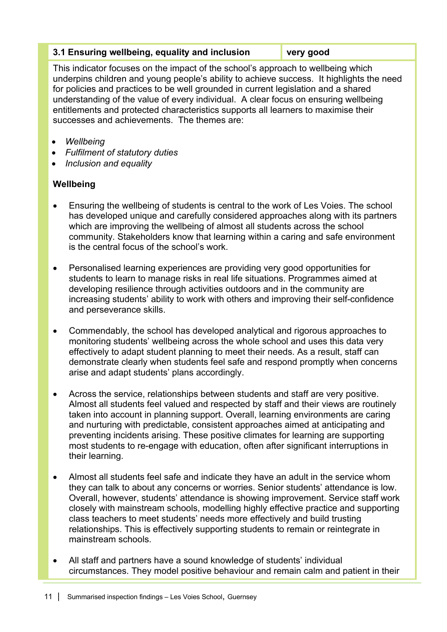# **3.1 Ensuring wellbeing, equality and inclusion very good**

This indicator focuses on the impact of the school's approach to wellbeing which underpins children and young people's ability to achieve success. It highlights the need for policies and practices to be well grounded in current legislation and a shared understanding of the value of every individual. A clear focus on ensuring wellbeing entitlements and protected characteristics supports all learners to maximise their successes and achievements. The themes are:

- *Wellbeing*
- *Fulfilment of statutory duties*
- *Inclusion and equality*

# **Wellbeing**

- Ensuring the wellbeing of students is central to the work of Les Voies. The school has developed unique and carefully considered approaches along with its partners which are improving the wellbeing of almost all students across the school community. Stakeholders know that learning within a caring and safe environment is the central focus of the school's work.
- Personalised learning experiences are providing very good opportunities for students to learn to manage risks in real life situations. Programmes aimed at developing resilience through activities outdoors and in the community are increasing students' ability to work with others and improving their self-confidence and perseverance skills.
- Commendably, the school has developed analytical and rigorous approaches to monitoring students' wellbeing across the whole school and uses this data very effectively to adapt student planning to meet their needs. As a result, staff can demonstrate clearly when students feel safe and respond promptly when concerns arise and adapt students' plans accordingly.
- Across the service, relationships between students and staff are very positive. Almost all students feel valued and respected by staff and their views are routinely taken into account in planning support. Overall, learning environments are caring and nurturing with predictable, consistent approaches aimed at anticipating and preventing incidents arising. These positive climates for learning are supporting most students to re-engage with education, often after significant interruptions in their learning.
- Almost all students feel safe and indicate they have an adult in the service whom they can talk to about any concerns or worries. Senior students' attendance is low. Overall, however, students' attendance is showing improvement. Service staff work closely with mainstream schools, modelling highly effective practice and supporting class teachers to meet students' needs more effectively and build trusting relationships. This is effectively supporting students to remain or reintegrate in mainstream schools.
- All staff and partners have a sound knowledge of students' individual circumstances. They model positive behaviour and remain calm and patient in their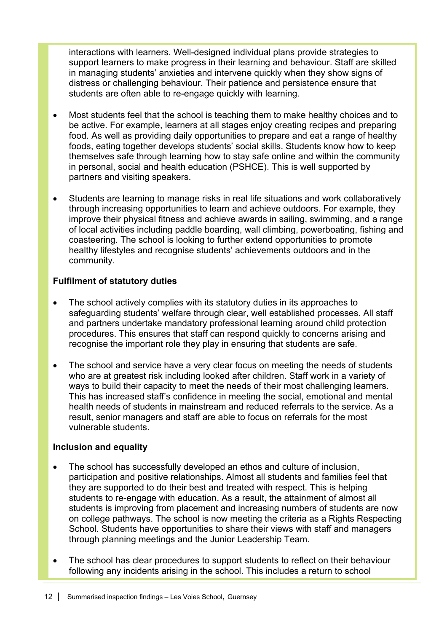interactions with learners. Well-designed individual plans provide strategies to support learners to make progress in their learning and behaviour. Staff are skilled in managing students' anxieties and intervene quickly when they show signs of distress or challenging behaviour. Their patience and persistence ensure that students are often able to re-engage quickly with learning.

- Most students feel that the school is teaching them to make healthy choices and to be active. For example, learners at all stages enjoy creating recipes and preparing food. As well as providing daily opportunities to prepare and eat a range of healthy foods, eating together develops students' social skills. Students know how to keep themselves safe through learning how to stay safe online and within the community in personal, social and health education (PSHCE). This is well supported by partners and visiting speakers.
- Students are learning to manage risks in real life situations and work collaboratively through increasing opportunities to learn and achieve outdoors. For example, they improve their physical fitness and achieve awards in sailing, swimming, and a range of local activities including paddle boarding, wall climbing, powerboating, fishing and coasteering. The school is looking to further extend opportunities to promote healthy lifestyles and recognise students' achievements outdoors and in the community.

# **Fulfilment of statutory duties**

- The school actively complies with its statutory duties in its approaches to safeguarding students' welfare through clear, well established processes. All staff and partners undertake mandatory professional learning around child protection procedures. This ensures that staff can respond quickly to concerns arising and recognise the important role they play in ensuring that students are safe.
- The school and service have a very clear focus on meeting the needs of students who are at greatest risk including looked after children. Staff work in a variety of ways to build their capacity to meet the needs of their most challenging learners. This has increased staff's confidence in meeting the social, emotional and mental health needs of students in mainstream and reduced referrals to the service. As a result, senior managers and staff are able to focus on referrals for the most vulnerable students.

# **Inclusion and equality**

- The school has successfully developed an ethos and culture of inclusion, participation and positive relationships. Almost all students and families feel that they are supported to do their best and treated with respect. This is helping students to re-engage with education. As a result, the attainment of almost all students is improving from placement and increasing numbers of students are now on college pathways. The school is now meeting the criteria as a Rights Respecting School. Students have opportunities to share their views with staff and managers through planning meetings and the Junior Leadership Team.
- The school has clear procedures to support students to reflect on their behaviour following any incidents arising in the school. This includes a return to school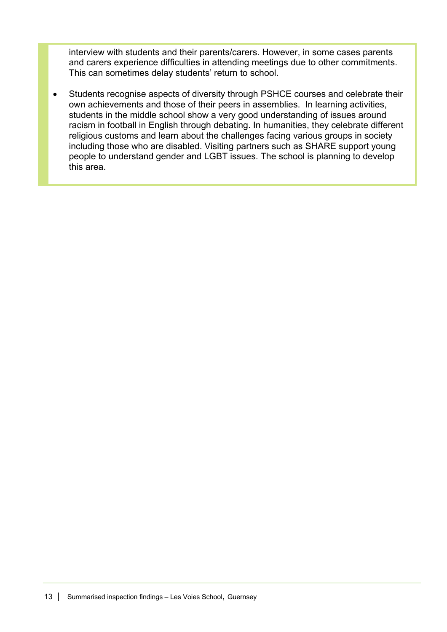interview with students and their parents/carers. However, in some cases parents and carers experience difficulties in attending meetings due to other commitments. This can sometimes delay students' return to school.

• Students recognise aspects of diversity through PSHCE courses and celebrate their own achievements and those of their peers in assemblies. In learning activities, students in the middle school show a very good understanding of issues around racism in football in English through debating. In humanities, they celebrate different religious customs and learn about the challenges facing various groups in society including those who are disabled. Visiting partners such as SHARE support young people to understand gender and LGBT issues. The school is planning to develop this area.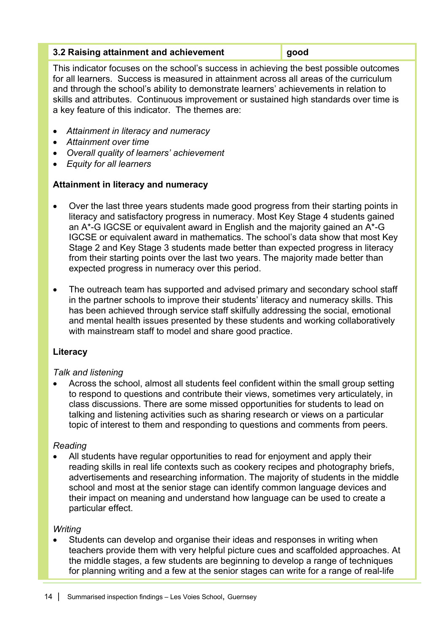#### **3.2 Raising attainment and achievement good**

This indicator focuses on the school's success in achieving the best possible outcomes for all learners. Success is measured in attainment across all areas of the curriculum and through the school's ability to demonstrate learners' achievements in relation to skills and attributes. Continuous improvement or sustained high standards over time is a key feature of this indicator. The themes are:

- *Attainment in literacy and numeracy*
- *Attainment over time*
- *Overall quality of learners' achievement*
- *Equity for all learners*

# **Attainment in literacy and numeracy**

- Over the last three years students made good progress from their starting points in literacy and satisfactory progress in numeracy. Most Key Stage 4 students gained an A\*-G IGCSE or equivalent award in English and the majority gained an A\*-G IGCSE or equivalent award in mathematics. The school's data show that most Key Stage 2 and Key Stage 3 students made better than expected progress in literacy from their starting points over the last two years. The majority made better than expected progress in numeracy over this period.
- The outreach team has supported and advised primary and secondary school staff in the partner schools to improve their students' literacy and numeracy skills. This has been achieved through service staff skilfully addressing the social, emotional and mental health issues presented by these students and working collaboratively with mainstream staff to model and share good practice.

# **Literacy**

# *Talk and listening*

• Across the school, almost all students feel confident within the small group setting to respond to questions and contribute their views, sometimes very articulately, in class discussions. There are some missed opportunities for students to lead on talking and listening activities such as sharing research or views on a particular topic of interest to them and responding to questions and comments from peers.

# *Reading*

• All students have regular opportunities to read for enjoyment and apply their reading skills in real life contexts such as cookery recipes and photography briefs, advertisements and researching information. The majority of students in the middle school and most at the senior stage can identify common language devices and their impact on meaning and understand how language can be used to create a particular effect.

# *Writing*

• Students can develop and organise their ideas and responses in writing when teachers provide them with very helpful picture cues and scaffolded approaches. At the middle stages, a few students are beginning to develop a range of techniques for planning writing and a few at the senior stages can write for a range of real-life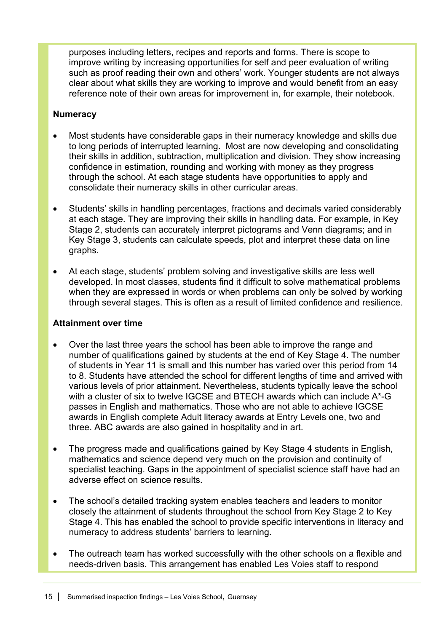purposes including letters, recipes and reports and forms. There is scope to improve writing by increasing opportunities for self and peer evaluation of writing such as proof reading their own and others' work. Younger students are not always clear about what skills they are working to improve and would benefit from an easy reference note of their own areas for improvement in, for example, their notebook.

# **Numeracy**

- Most students have considerable gaps in their numeracy knowledge and skills due to long periods of interrupted learning. Most are now developing and consolidating their skills in addition, subtraction, multiplication and division. They show increasing confidence in estimation, rounding and working with money as they progress through the school. At each stage students have opportunities to apply and consolidate their numeracy skills in other curricular areas.
- Students' skills in handling percentages, fractions and decimals varied considerably at each stage. They are improving their skills in handling data. For example, in Key Stage 2, students can accurately interpret pictograms and Venn diagrams; and in Key Stage 3, students can calculate speeds, plot and interpret these data on line graphs.
- At each stage, students' problem solving and investigative skills are less well developed. In most classes, students find it difficult to solve mathematical problems when they are expressed in words or when problems can only be solved by working through several stages. This is often as a result of limited confidence and resilience.

# **Attainment over time**

- Over the last three years the school has been able to improve the range and number of qualifications gained by students at the end of Key Stage 4. The number of students in Year 11 is small and this number has varied over this period from 14 to 8. Students have attended the school for different lengths of time and arrived with various levels of prior attainment. Nevertheless, students typically leave the school with a cluster of six to twelve IGCSE and BTECH awards which can include A\*-G passes in English and mathematics. Those who are not able to achieve IGCSE awards in English complete Adult literacy awards at Entry Levels one, two and three. ABC awards are also gained in hospitality and in art.
- The progress made and qualifications gained by Key Stage 4 students in English, mathematics and science depend very much on the provision and continuity of specialist teaching. Gaps in the appointment of specialist science staff have had an adverse effect on science results.
- The school's detailed tracking system enables teachers and leaders to monitor closely the attainment of students throughout the school from Key Stage 2 to Key Stage 4. This has enabled the school to provide specific interventions in literacy and numeracy to address students' barriers to learning.
- The outreach team has worked successfully with the other schools on a flexible and needs-driven basis. This arrangement has enabled Les Voies staff to respond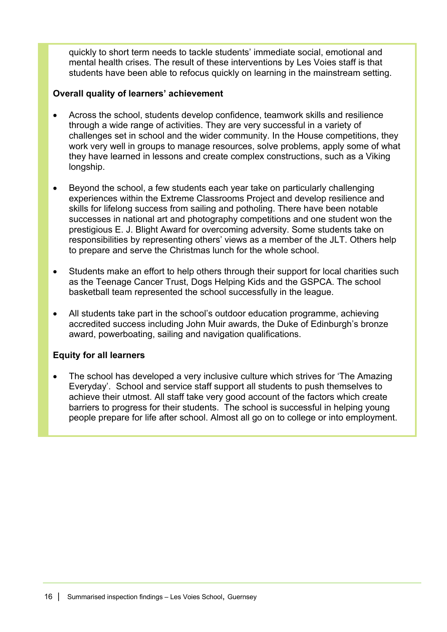quickly to short term needs to tackle students' immediate social, emotional and mental health crises. The result of these interventions by Les Voies staff is that students have been able to refocus quickly on learning in the mainstream setting.

# **Overall quality of learners' achievement**

- Across the school, students develop confidence, teamwork skills and resilience through a wide range of activities. They are very successful in a variety of challenges set in school and the wider community. In the House competitions, they work very well in groups to manage resources, solve problems, apply some of what they have learned in lessons and create complex constructions, such as a Viking longship.
- Beyond the school, a few students each year take on particularly challenging experiences within the Extreme Classrooms Project and develop resilience and skills for lifelong success from sailing and potholing. There have been notable successes in national art and photography competitions and one student won the prestigious E. J. Blight Award for overcoming adversity. Some students take on responsibilities by representing others' views as a member of the JLT. Others help to prepare and serve the Christmas lunch for the whole school.
- Students make an effort to help others through their support for local charities such as the Teenage Cancer Trust, Dogs Helping Kids and the GSPCA. The school basketball team represented the school successfully in the league.
- All students take part in the school's outdoor education programme, achieving accredited success including John Muir awards, the Duke of Edinburgh's bronze award, powerboating, sailing and navigation qualifications.

# **Equity for all learners**

• The school has developed a very inclusive culture which strives for 'The Amazing Everyday'. School and service staff support all students to push themselves to achieve their utmost. All staff take very good account of the factors which create barriers to progress for their students. The school is successful in helping young people prepare for life after school. Almost all go on to college or into employment.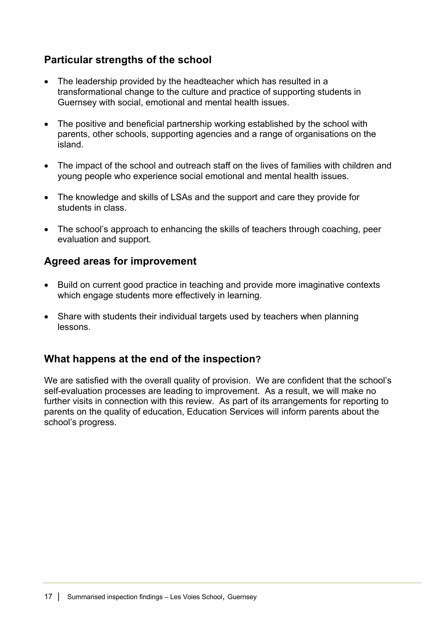# **Particular strengths of the school**

- The leadership provided by the headteacher which has resulted in a transformational change to the culture and practice of supporting students in Guernsey with social, emotional and mental health issues.
- The positive and beneficial partnership working established by the school with parents, other schools, supporting agencies and a range of organisations on the island.
- The impact of the school and outreach staff on the lives of families with children and young people who experience social emotional and mental health issues.
- The knowledge and skills of LSAs and the support and care they provide for students in class.
- The school's approach to enhancing the skills of teachers through coaching, peer evaluation and support.

# **Agreed areas for improvement**

- Build on current good practice in teaching and provide more imaginative contexts which engage students more effectively in learning.
- Share with students their individual targets used by teachers when planning lessons.

# **What happens at the end of the inspection?**

We are satisfied with the overall quality of provision. We are confident that the school's self-evaluation processes are leading to improvement. As a result, we will make no further visits in connection with this review. As part of its arrangements for reporting to parents on the quality of education, Education Services will inform parents about the school's progress.